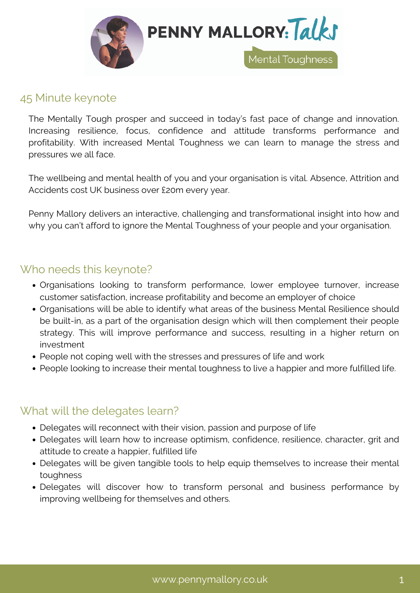

### 45 Minute keynote

The Mentally Tough prosper and succeed in today's fast pace of change and innovation. Increasing resilience, focus, confidence and attitude transforms performance and profitability. With increased Mental Toughness we can learn to manage the stress and pressures we all face.

The wellbeing and mental health of you and your organisation is vital. Absence, Attrition and Accidents cost UK business over £20m every year.

Penny Mallory delivers an interactive, challenging and transformational insight into how and why you can't afford to ignore the Mental Toughness of your people and your organisation.

## Who needs this keynote?

- Organisations looking to transform performance, lower employee turnover, increase customer satisfaction, increase profitability and become an employer of choice
- Organisations will be able to identify what areas of the business Mental Resilience should be built-in, as a part of the organisation design which will then complement their people strategy. This will improve performance and success, resulting in a higher return on investment
- People not coping well with the stresses and pressures of life and work
- People looking to increase their mental toughness to live a happier and more fulfilled life.

# What will the delegates learn?

- Delegates will reconnect with their vision, passion and purpose of life
- Delegates will learn how to increase optimism, confidence, resilience, character, grit and attitude to create a happier, fulfilled life
- Delegates will be given tangible tools to help equip themselves to increase their mental toughness
- Delegates will discover how to transform personal and business performance by improving wellbeing for themselves and others.